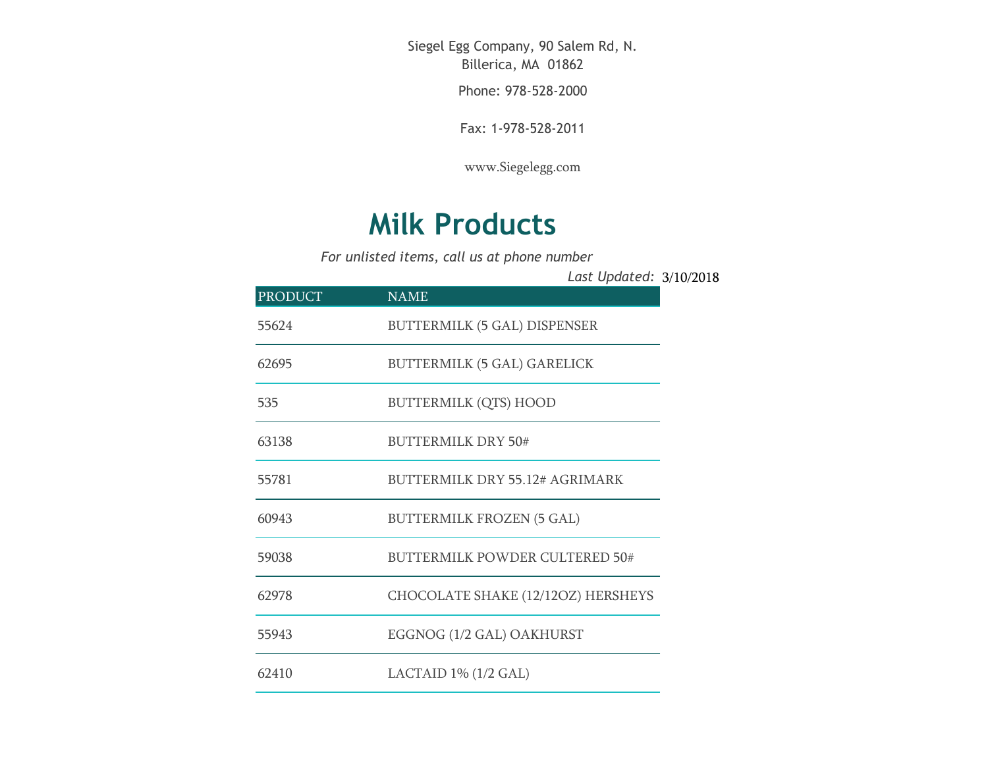Siegel Egg Company, 90 Salem Rd, N. Billerica, MA 01862

Phone: 978-528-2000

Fax: 1-978-528-2011

[www.Siegelegg.com](http://www.siegelegg.com/)

## **Milk Products**

*For unlisted items, call us at phone number*

3/10/2018 *Last Updated:*

| <b>PRODUCT</b> | <b>NAME</b>                           |
|----------------|---------------------------------------|
| 55624          | <b>BUTTERMILK (5 GAL) DISPENSER</b>   |
| 62695          | <b>BUTTERMILK (5 GAL) GARELICK</b>    |
| 535            | <b>BUTTERMILK (QTS) HOOD</b>          |
| 63138          | <b>BUTTERMILK DRY 50#</b>             |
| 55781          | BUTTERMILK DRY 55.12# AGRIMARK        |
| 60943          | <b>BUTTERMILK FROZEN (5 GAL)</b>      |
| 59038          | <b>BUTTERMILK POWDER CULTERED 50#</b> |
| 62978          | CHOCOLATE SHAKE (12/12OZ) HERSHEYS    |
| 55943          | EGGNOG (1/2 GAL) OAKHURST             |
| 62410          | LACTAID $1\%$ ( $1/2$ GAL)            |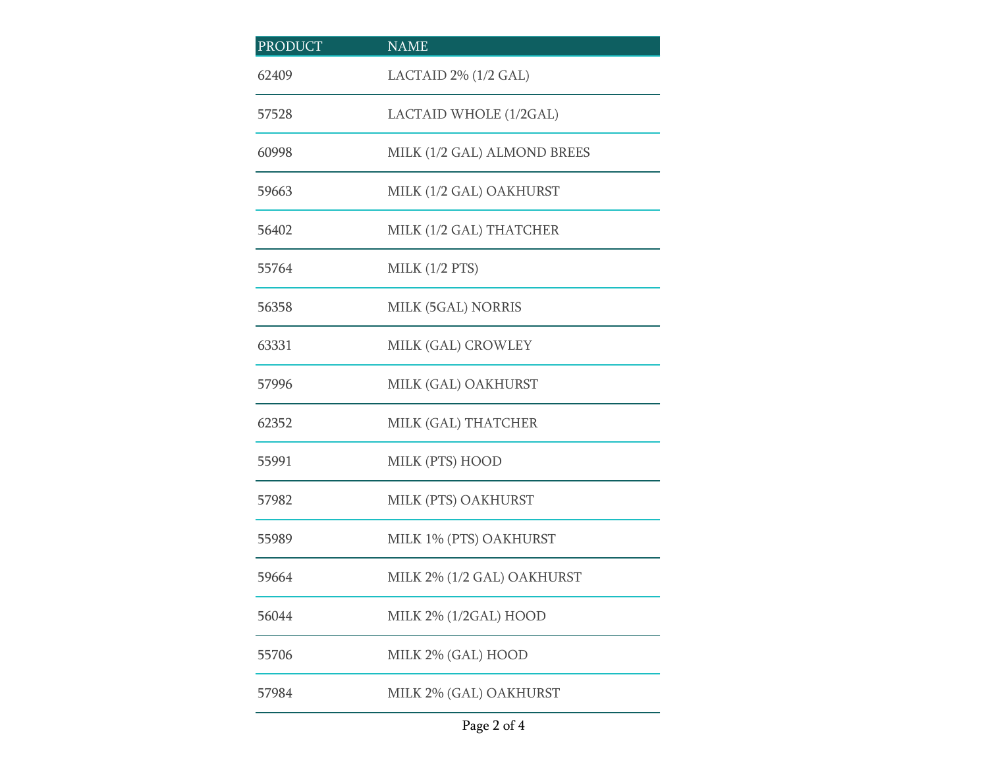| <b>PRODUCT</b> | <b>NAME</b>                 |
|----------------|-----------------------------|
| 62409          | LACTAID 2% (1/2 GAL)        |
| 57528          | LACTAID WHOLE (1/2GAL)      |
| 60998          | MILK (1/2 GAL) ALMOND BREES |
| 59663          | MILK (1/2 GAL) OAKHURST     |
| 56402          | MILK (1/2 GAL) THATCHER     |
| 55764          | MILK $(1/2$ PTS)            |
| 56358          | MILK (5GAL) NORRIS          |
| 63331          | MILK (GAL) CROWLEY          |
| 57996          | MILK (GAL) OAKHURST         |
| 62352          | MILK (GAL) THATCHER         |
| 55991          | MILK (PTS) HOOD             |
| 57982          | MILK (PTS) OAKHURST         |
| 55989          | MILK 1% (PTS) OAKHURST      |
| 59664          | MILK 2% (1/2 GAL) OAKHURST  |
| 56044          | MILK 2% (1/2GAL) HOOD       |
| 55706          | MILK 2% (GAL) HOOD          |
| 57984          | MILK 2% (GAL) OAKHURST      |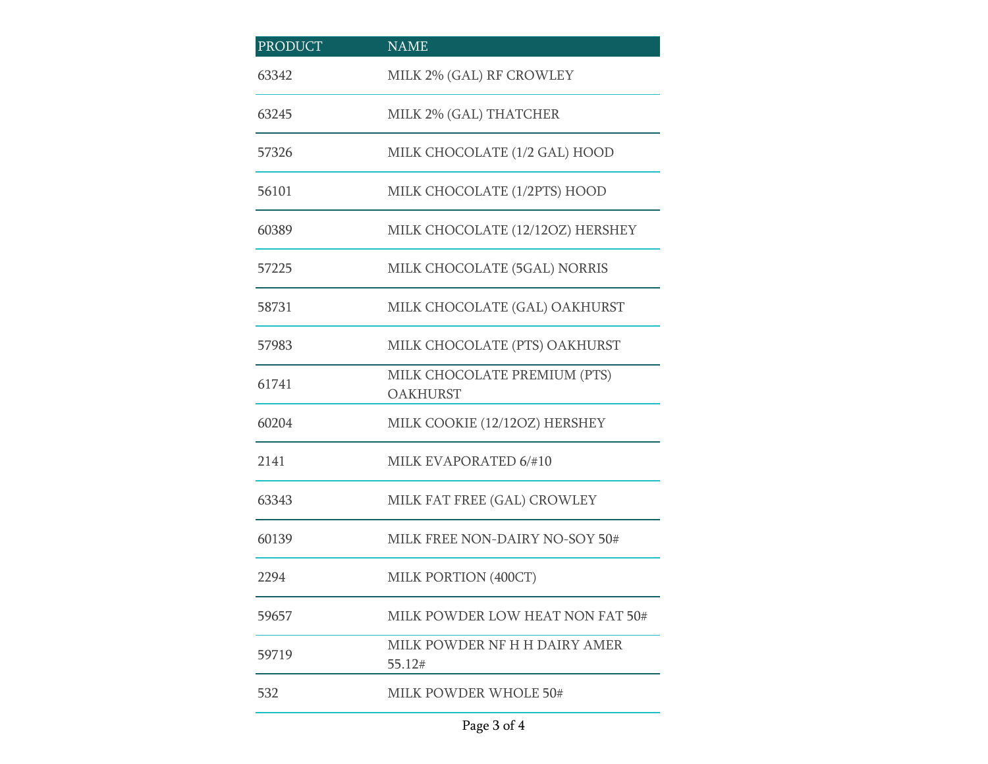| <b>PRODUCT</b> | <b>NAME</b>                                     |
|----------------|-------------------------------------------------|
| 63342          | MILK 2% (GAL) RF CROWLEY                        |
| 63245          | MILK 2% (GAL) THATCHER                          |
| 57326          | MILK CHOCOLATE (1/2 GAL) HOOD                   |
| 56101          | MILK CHOCOLATE (1/2PTS) HOOD                    |
| 60389          | MILK CHOCOLATE (12/12OZ) HERSHEY                |
| 57225          | MILK CHOCOLATE (5GAL) NORRIS                    |
| 58731          | MILK CHOCOLATE (GAL) OAKHURST                   |
| 57983          | MILK CHOCOLATE (PTS) OAKHURST                   |
| 61741          | MILK CHOCOLATE PREMIUM (PTS)<br><b>OAKHURST</b> |
| 60204          | MILK COOKIE (12/12OZ) HERSHEY                   |
| 2141           | MILK EVAPORATED 6/#10                           |
| 63343          | MILK FAT FREE (GAL) CROWLEY                     |
| 60139          | MILK FREE NON-DAIRY NO-SOY 50#                  |
| 2294           | MILK PORTION (400CT)                            |
| 59657          | MILK POWDER LOW HEAT NON FAT 50#                |
| 59719          | MILK POWDER NF H H DAIRY AMER<br>55.12#         |
| 532            | MILK POWDER WHOLE 50#                           |